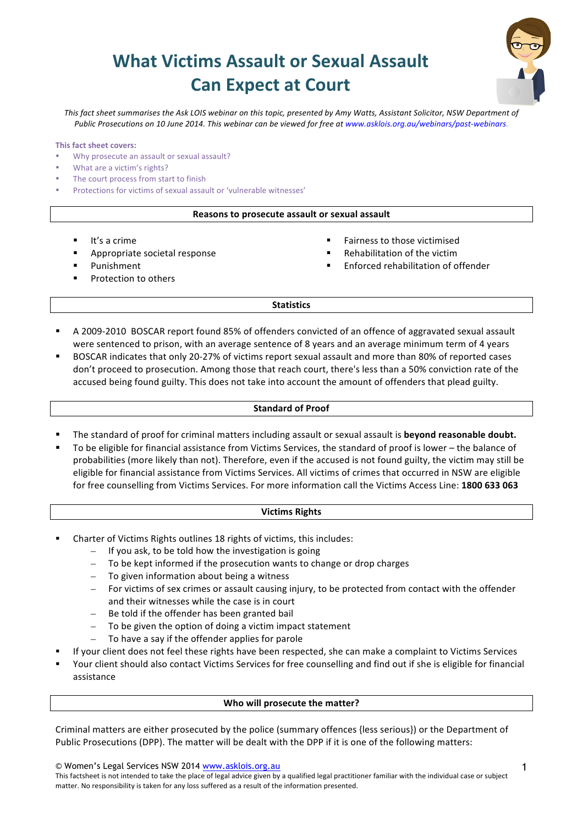# **What Victims Assault or Sexual Assault Can Expect at Court**



This fact sheet summarises the Ask LOIS webinar on this topic, presented by Amy Watts, Assistant Solicitor, NSW Department of Public Prosecutions on 10 June 2014. This webinar can be viewed for free at www.asklois.org.au/webinars/past-webinars.

#### **This fact sheet covers:**

- Why prosecute an assault or sexual assault?
- What are a victim's rights?
- The court process from start to finish
- Protections for victims of sexual assault or 'vulnerable witnesses'

#### **Reasons to prosecute assault or sexual assault**

- $\blacksquare$  It's a crime
- Appropriate societal response
- § Punishment
- Protection to others
- Fairness to those victimised
- Rehabilitation of the victim
- § Enforced rehabilitation of offender

#### **Statistics**

- A 2009-2010 BOSCAR report found 85% of offenders convicted of an offence of aggravated sexual assault were sentenced to prison, with an average sentence of 8 years and an average minimum term of 4 years
- BOSCAR indicates that only 20-27% of victims report sexual assault and more than 80% of reported cases don't proceed to prosecution. Among those that reach court, there's less than a 50% conviction rate of the accused being found guilty. This does not take into account the amount of offenders that plead guilty.

#### **Standard of Proof**

- The standard of proof for criminal matters including assault or sexual assault is **beyond reasonable doubt.**
- To be eligible for financial assistance from Victims Services, the standard of proof is lower the balance of probabilities (more likely than not). Therefore, even if the accused is not found guilty, the victim may still be eligible for financial assistance from Victims Services. All victims of crimes that occurred in NSW are eligible for free counselling from Victims Services. For more information call the Victims Access Line: 1800 633 063

# **Victims Rights**

- Charter of Victims Rights outlines 18 rights of victims, this includes:
	- $-$  If you ask, to be told how the investigation is going
	- $-$  To be kept informed if the prosecution wants to change or drop charges
	- To given information about being a witness
	- For victims of sex crimes or assault causing injury, to be protected from contact with the offender and their witnesses while the case is in court
	- Be told if the offender has been granted bail
	- To be given the option of doing a victim impact statement
	- To have a say if the offender applies for parole
- If your client does not feel these rights have been respected, she can make a complaint to Victims Services
- Your client should also contact Victims Services for free counselling and find out if she is eligible for financial assistance

#### **Who will prosecute the matter?**

Criminal matters are either prosecuted by the police (summary offences {less serious}) or the Department of Public Prosecutions (DPP). The matter will be dealt with the DPP if it is one of the following matters:

© Women's Legal Services NSW 2014 www.asklois.org.au

This factsheet is not intended to take the place of legal advice given by a qualified legal practitioner familiar with the individual case or subject matter. No responsibility is taken for any loss suffered as a result of the information presented.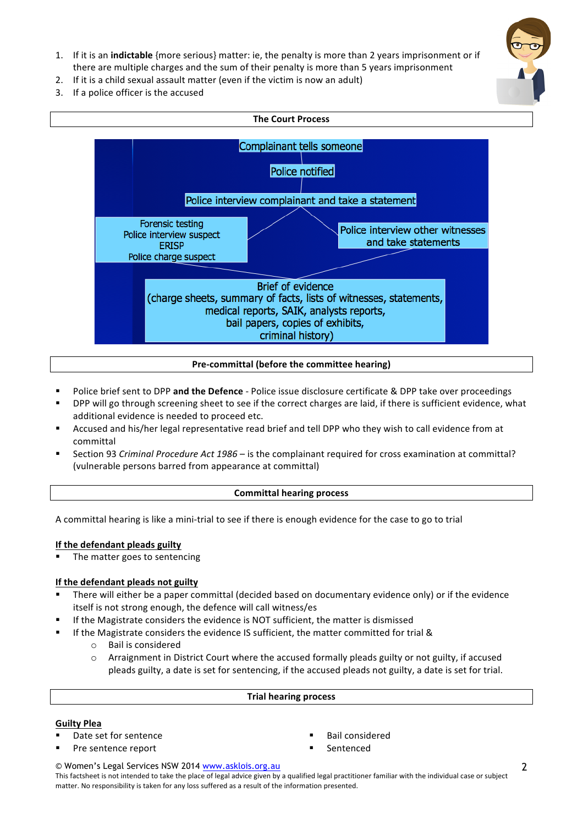- 1. If it is an **indictable** {more serious} matter: ie, the penalty is more than 2 years imprisonment or if there are multiple charges and the sum of their penalty is more than 5 years imprisonment
- 2. If it is a child sexual assault matter (even if the victim is now an adult)
- 3. If a police officer is the accused



# **Pre-committal (before the committee hearing)**

- Police brief sent to DPP and the Defence Police issue disclosure certificate & DPP take over proceedings
- DPP will go through screening sheet to see if the correct charges are laid, if there is sufficient evidence, what additional evidence is needed to proceed etc.
- Accused and his/her legal representative read brief and tell DPP who they wish to call evidence from at committal
- Section 93 *Criminal Procedure Act 1986* is the complainant required for cross examination at committal? (vulnerable persons barred from appearance at committal)

# **Committal hearing process**

A committal hearing is like a mini-trial to see if there is enough evidence for the case to go to trial

# **If the defendant pleads guilty**

The matter goes to sentencing

# **If the defendant pleads not guilty**

- There will either be a paper committal (decided based on documentary evidence only) or if the evidence itself is not strong enough, the defence will call witness/es
- If the Magistrate considers the evidence is NOT sufficient, the matter is dismissed
- If the Magistrate considers the evidence IS sufficient, the matter committed for trial &
	- o Bail is considered
	- $\circ$  Arraignment in District Court where the accused formally pleads guilty or not guilty, if accused pleads guilty, a date is set for sentencing, if the accused pleads not guilty, a date is set for trial.

## **Trial hearing process**

## **Guilty Plea**

- Date set for sentence
- Pre sentence report
- § Bail considered
- § Sentenced

© Women's Legal Services NSW 2014 www.asklois.org.au

This factsheet is not intended to take the place of legal advice given by a qualified legal practitioner familiar with the individual case or subject matter. No responsibility is taken for any loss suffered as a result of the information presented.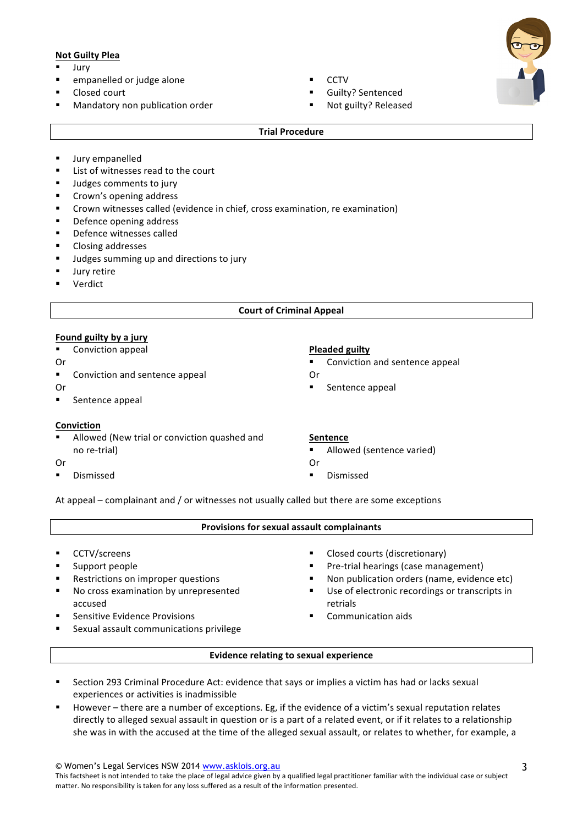# **Not Guilty Plea**

- § Jury
- empanelled or judge alone
- Closed court
- Mandatory non publication order
- § CCTV
- Guilty? Sentenced
- Not guilty? Released

## **Trial Procedure**

- **■** Jury empanelled
- List of witnesses read to the court
- Judges comments to jury
- Crown's opening address
- Crown witnesses called (evidence in chief, cross examination, re examination)
- Defence opening address
- Defence witnesses called
- Closing addresses
- Judges summing up and directions to jury
- Jury retire
- § Verdict

## **Court of Criminal Appeal**

# **Found guilty by a jury**

- Conviction appeal
- Or
- Conviction and sentence appeal
- Or
- Sentence appeal

## **Conviction**

- Allowed (New trial or conviction quashed and no re-trial)
- Or
- § Dismissed

# **Pleaded guilty**

- Conviction and sentence appeal
- Or
- Sentence appeal

## **Sentence**

- Allowed (sentence varied)
- Or § Dismissed

At appeal – complainant and  $/$  or witnesses not usually called but there are some exceptions

## **Provisions for sexual assault complainants**

- § CCTV/screens
- Support people
- Restrictions on improper questions
- No cross examination by unrepresented accused
- Sensitive Evidence Provisions
- Sexual assault communications privilege
- Closed courts (discretionary)
- Pre-trial hearings (case management)
- Non publication orders (name, evidence etc)
- Use of electronic recordings or transcripts in retrials
- § Communication aids
- 

## **Evidence relating to sexual experience**

- Section 293 Criminal Procedure Act: evidence that says or implies a victim has had or lacks sexual experiences or activities is inadmissible
- However there are a number of exceptions. Eg, if the evidence of a victim's sexual reputation relates directly to alleged sexual assault in question or is a part of a related event, or if it relates to a relationship she was in with the accused at the time of the alleged sexual assault, or relates to whether, for example, a

© Women's Legal Services NSW 2014 www.asklois.org.au This factsheet is not intended to take the place of legal advice given by a qualified legal practitioner familiar with the individual case or subject matter. No responsibility is taken for any loss suffered as a result of the information presented.